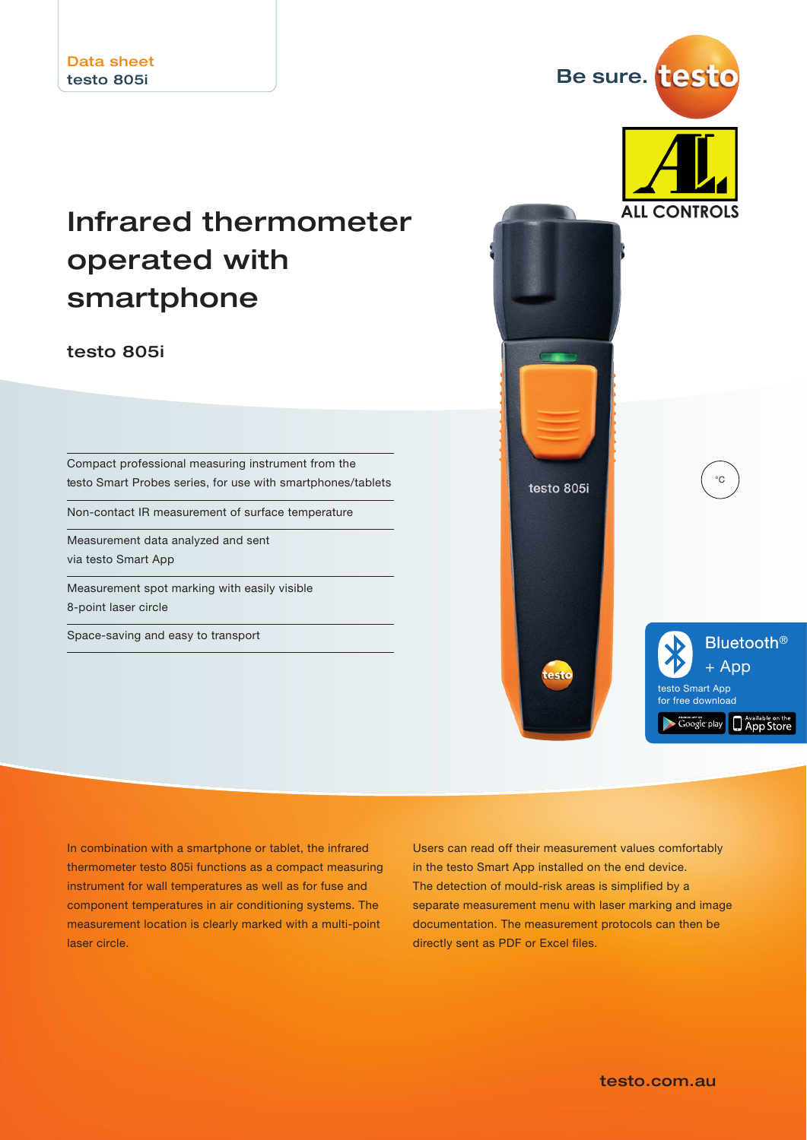## Infrared thermometer operated with smartphone

testo 805i

Compact professional measuring instrument from the testo Smart Probes series, for use with smartphones/tablets

Non-contact IR measurement of surface temperature

Measurement data analyzed and sent via testo Smart App

Measurement spot marking with easily visible 8-point laser circle

Space-saving and easy to transport



In combination with a smartphone or tablet, the infrared thermometer testo 805i functions as a compact measuring instrument for wall temperatures as well as for fuse and component temperatures in air conditioning systems. The measurement location is clearly marked with a multi-point laser circle.

Users can read off their measurement values comfortably in the testo Smart App installed on the end device. The detection of mould-risk areas is simplified by a separate measurement menu with laser marking and image documentation. The measurement protocols can then be directly sent as PDF or Excel files.